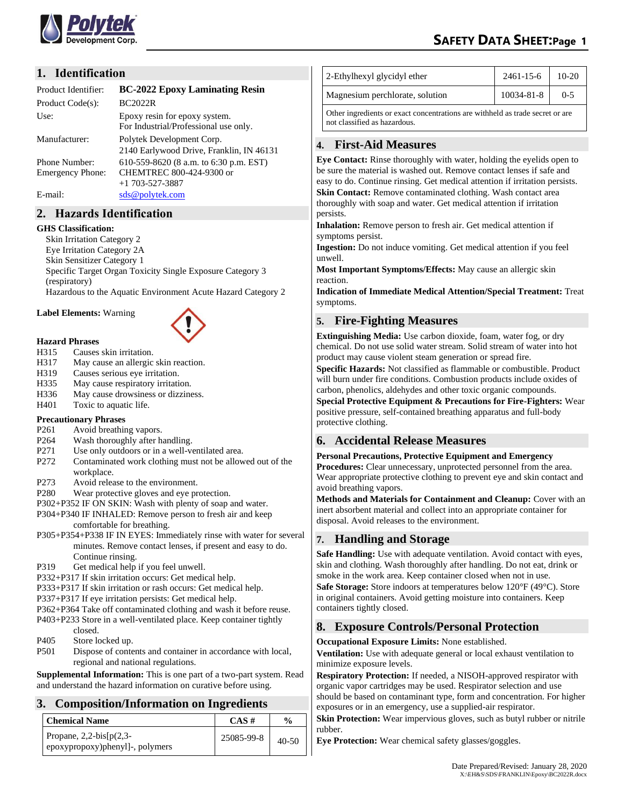

## **1. Identification**

| Product Identifier: | <b>BC-2022 Epoxy Laminating Resin</b>                                  |
|---------------------|------------------------------------------------------------------------|
| Product Code(s):    | BC2022R                                                                |
| Use:                | Epoxy resin for epoxy system.<br>For Industrial/Professional use only. |
| Manufacturer:       | Polytek Development Corp.                                              |
|                     | 2140 Earlywood Drive, Franklin, IN 46131                               |
| Phone Number:       | 610-559-8620 (8 a.m. to 6:30 p.m. EST)                                 |
| Emergency Phone:    | CHEMTREC 800-424-9300 or                                               |
|                     | $+1$ 703-527-3887                                                      |
| E-mail:             | sds@polytek.com                                                        |

# **2. Hazards Identification**

#### **GHS Classification:**

Skin Irritation Category 2 Eye Irritation Category 2A Skin Sensitizer Category 1 Specific Target Organ Toxicity Single Exposure Category 3 (respiratory) Hazardous to the Aquatic Environment Acute Hazard Category 2

**Label Elements:** Warning



#### **Hazard Phrases**

- H315 Causes skin irritation.
- H317 May cause an allergic skin reaction.
- H319 Causes serious eye irritation.
- H335 May cause respiratory irritation.
- H336 May cause drowsiness or dizziness.
- H401 Toxic to aquatic life.

#### **Precautionary Phrases**

- P261 Avoid breathing vapors.
- P264 Wash thoroughly after handling.
- P271 Use only outdoors or in a well-ventilated area.
- P272 Contaminated work clothing must not be allowed out of the workplace.
- P273 Avoid release to the environment.
- P280 Wear protective gloves and eye protection.
- P302+P352 IF ON SKIN: Wash with plenty of soap and water.
- P304+P340 IF INHALED: Remove person to fresh air and keep comfortable for breathing.
- P305+P354+P338 IF IN EYES: Immediately rinse with water for several minutes. Remove contact lenses, if present and easy to do. Continue rinsing.
- P319 Get medical help if you feel unwell.
- P332+P317 If skin irritation occurs: Get medical help.
- P333+P317 If skin irritation or rash occurs: Get medical help.
- P337+P317 If eye irritation persists: Get medical help.
- P362+P364 Take off contaminated clothing and wash it before reuse.
- P403+P233 Store in a well-ventilated place. Keep container tightly closed.
- P405 Store locked up.
- P501 Dispose of contents and container in accordance with local, regional and national regulations.

**Supplemental Information:** This is one part of a two-part system. Read and understand the hazard information on curative before using.

# **3. Composition/Information on Ingredients**

| <b>Chemical Name</b>                                         | $CAS \#$   | $\frac{0}{0}$ |
|--------------------------------------------------------------|------------|---------------|
| Propane, $2,2-bis[p(2,3-$<br>epoxypropoxy)phenyl]-, polymers | 25085-99-8 | $40 - 50$     |

| 2-Ethylhexyl glycidyl ether                                                   | $2461 - 15 - 6$ | $10-20$ |  |
|-------------------------------------------------------------------------------|-----------------|---------|--|
| Magnesium perchlorate, solution                                               | 10034-81-8      | $0 - 5$ |  |
| Other ingredients or exact concentrations are withheld as trade secret or are |                 |         |  |

not classified as hazardous.

## **4. First-Aid Measures**

**Eye Contact:** Rinse thoroughly with water, holding the eyelids open to be sure the material is washed out. Remove contact lenses if safe and easy to do. Continue rinsing. Get medical attention if irritation persists. **Skin Contact:** Remove contaminated clothing. Wash contact area thoroughly with soap and water. Get medical attention if irritation persists.

**Inhalation:** Remove person to fresh air. Get medical attention if symptoms persist.

**Ingestion:** Do not induce vomiting. Get medical attention if you feel unwell.

**Most Important Symptoms/Effects:** May cause an allergic skin reaction.

**Indication of Immediate Medical Attention/Special Treatment:** Treat symptoms.

# **5. Fire-Fighting Measures**

**Extinguishing Media:** Use carbon dioxide, foam, water fog, or dry chemical. Do not use solid water stream. Solid stream of water into hot product may cause violent steam generation or spread fire.

**Specific Hazards:** Not classified as flammable or combustible. Product will burn under fire conditions. Combustion products include oxides of carbon, phenolics, aldehydes and other toxic organic compounds.

**Special Protective Equipment & Precautions for Fire-Fighters:** Wear positive pressure, self-contained breathing apparatus and full-body protective clothing.

# **6. Accidental Release Measures**

#### **Personal Precautions, Protective Equipment and Emergency**

**Procedures:** Clear unnecessary, unprotected personnel from the area. Wear appropriate protective clothing to prevent eye and skin contact and avoid breathing vapors.

**Methods and Materials for Containment and Cleanup:** Cover with an inert absorbent material and collect into an appropriate container for disposal. Avoid releases to the environment.

## **7. Handling and Storage**

**Safe Handling:** Use with adequate ventilation. Avoid contact with eyes, skin and clothing. Wash thoroughly after handling. Do not eat, drink or smoke in the work area. Keep container closed when not in use. **Safe Storage:** Store indoors at temperatures below 120°F (49°C). Store in original containers. Avoid getting moisture into containers. Keep containers tightly closed.

# **8. Exposure Controls/Personal Protection**

**Occupational Exposure Limits:** None established.

**Ventilation:** Use with adequate general or local exhaust ventilation to minimize exposure levels.

**Respiratory Protection:** If needed, a NISOH-approved respirator with organic vapor cartridges may be used. Respirator selection and use should be based on contaminant type, form and concentration. For higher exposures or in an emergency, use a supplied-air respirator.

**Skin Protection:** Wear impervious gloves, such as butyl rubber or nitrile rubber.

**Eye Protection:** Wear chemical safety glasses/goggles.